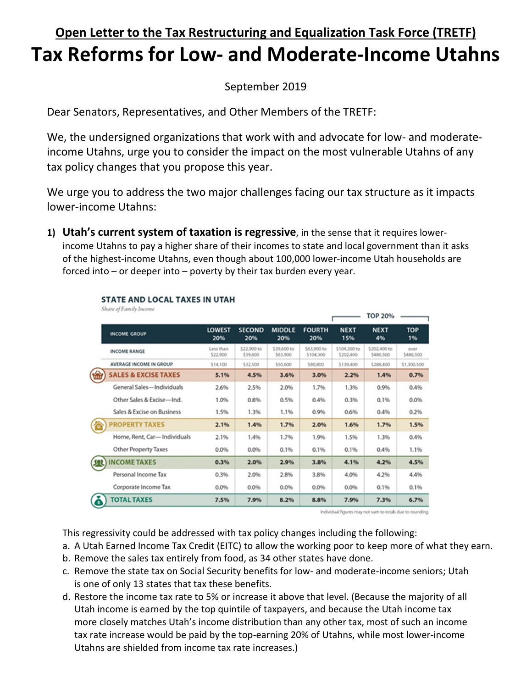## **Open Letter to the Tax Restructuring and Equalization Task Force (TRETF) Tax Reforms for Low- and Moderate-Income Utahns**

## September 2019

Dear Senators, Representatives, and Other Members of the TRETF:

We, the undersigned organizations that work with and advocate for low- and moderateincome Utahns, urge you to consider the impact on the most vulnerable Utahns of any tax policy changes that you propose this year.

We urge you to address the two major challenges facing our tax structure as it impacts lower-income Utahns:

**1) Utah's current system of taxation is regressive**, in the sense that it requires lowerincome Utahns to pay a higher share of their incomes to state and local government than it asks of the highest-income Utahns, even though about 100,000 lower-income Utah households are forced into – or deeper into – poverty by their tax burden every year.

| $0.77997 \pm 0.027$ at the contract of the contract of the contract of the contract of the contract of the contract of the contract of the contract of the contract of the contract of the contract of the contract of the cont |                       |                         |                         |                          |                           | TOP 20%                   |                   |
|---------------------------------------------------------------------------------------------------------------------------------------------------------------------------------------------------------------------------------|-----------------------|-------------------------|-------------------------|--------------------------|---------------------------|---------------------------|-------------------|
| <b>INCOME GROUP</b>                                                                                                                                                                                                             | <b>LOWEST</b><br>20%  | <b>SECOND</b><br>20%    | <b>MIDDLE</b><br>20%    | <b>FOURTH</b><br>20%     | <b>NEXT</b><br>15%        | <b>NEXT</b><br>4%         | <b>TOP</b><br>1%  |
| <b>INCOME RANGE</b>                                                                                                                                                                                                             | Less than<br>\$22,900 | \$22,900 to<br>\$39,600 | \$39,600 to<br>\$63,900 | \$63,900 to<br>\$104,300 | \$104,300 to<br>\$202,400 | \$202,400 to<br>\$486,500 | over<br>\$486,500 |
| <b>AVERAGE INCOME IN GROUP</b>                                                                                                                                                                                                  | \$14,100              | \$32,500                | \$50,600                | \$80,800                 | \$139,400                 | \$288,400                 | \$1,300,500       |
| <b>SALES &amp; EXCISE TAXES</b><br>ww                                                                                                                                                                                           | 5.1%                  | 4.5%                    | 3.6%                    | 3.0%                     | 2.2%                      | 1.4%                      | 0.7%              |
| General Sales-Individuals                                                                                                                                                                                                       | 2.6%                  | 2.5%                    | 2.0%                    | 1.7%                     | 1.3%                      | 0.9%                      | 0.4%              |
| Other Sales & Excise-Ind.                                                                                                                                                                                                       | 1.0%                  | 0.8%                    | 0.5%                    | 0.4%                     | 0.3%                      | 0.1%                      | 0.0%              |
| Sales & Excise on Business                                                                                                                                                                                                      | 1.5%                  | 1.3%                    | 1.1%                    | 0.9%                     | 0.6%                      | 0.4%                      | 0.2%              |
| <b>PROPERTY TAXES</b>                                                                                                                                                                                                           | 2.1%                  | 1.4%                    | 1.7%                    | 2.0%                     | 1.6%                      | 1.7%                      | 1.5%              |
| Home, Rent, Car-Individuals                                                                                                                                                                                                     | 2.1%                  | 1.4%                    | 1.7%                    | 1.9%                     | 1.5%                      | 1.3%                      | 0.4%              |
| <b>Other Property Taxes</b>                                                                                                                                                                                                     | 0.0%                  | 0.0%                    | 0.1%                    | 0.1%                     | 0.1%                      | 0.4%                      | 1.1%              |
| <b>INCOME TAXES</b>                                                                                                                                                                                                             | 0.3%                  | 2.0%                    | 2.9%                    | 3.8%                     | 4.1%                      | 4.2%                      | 4.5%              |
| Personal Income Tax                                                                                                                                                                                                             | 0.3%                  | 2.0%                    | 2.8%                    | 3.8%                     | 4.0%                      | 4.2%                      | 4.4%              |
| Corporate Income Tax                                                                                                                                                                                                            | 0.0%                  | 0.0%                    | 0.0%                    | 0.0%                     | 0.0%                      | 0.1%                      | 0.1%              |
| <b>TOTAL TAXES</b><br>ß                                                                                                                                                                                                         | 7.5%                  | 7.9%                    | 8.2%                    | 8.8%                     | 7.9%                      | 7.3%                      | 6.7%              |

## **STATE AND LOCAL TAXES IN UTAH** Share of Equily Income

Individual figures may not sum to totals due to rounding.

This regressivity could be addressed with tax policy changes including the following:

- a. A Utah Earned Income Tax Credit (EITC) to allow the working poor to keep more of what they earn.
- b. Remove the sales tax entirely from food, as 34 other states have done.
- c. Remove the state tax on Social Security benefits for low- and moderate-income seniors; Utah is one of only 13 states that tax these benefits.
- d. Restore the income tax rate to 5% or increase it above that level. (Because the majority of all Utah income is earned by the top quintile of taxpayers, and because the Utah income tax more closely matches Utah's income distribution than any other tax, most of such an income tax rate increase would be paid by the top-earning 20% of Utahns, while most lower-income Utahns are shielded from income tax rate increases.)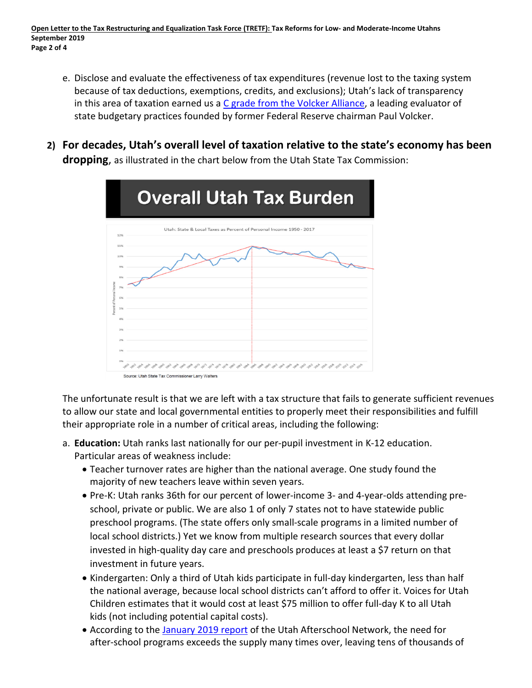- e. Disclose and evaluate the effectiveness of tax expenditures (revenue lost to the taxing system because of tax deductions, exemptions, credits, and exclusions); Utah's lack of transparency in this area of taxation earned us a C grade from the Volcker Alliance, a leading evaluator of state budgetary practices founded by former Federal Reserve chairman Paul Volcker.
- **2) For decades, Utah's overall level of taxation relative to the state's economy has been dropping**, as illustrated in the chart below from the Utah State Tax Commission:



The unfortunate result is that we are left with a tax structure that fails to generate sufficient revenues to allow our state and local governmental entities to properly meet their responsibilities and fulfill their appropriate role in a number of critical areas, including the following:

- a. **Education:** Utah ranks last nationally for our per-pupil investment in K-12 education. Particular areas of weakness include:
	- Teacher turnover rates are higher than the national average. One study found the majority of new teachers leave within seven years.
	- Pre-K: Utah ranks 36th for our percent of lower-income 3- and 4-year-olds attending preschool, private or public. We are also 1 of only 7 states not to have statewide public preschool programs. (The state offers only small-scale programs in a limited number of local school districts.) Yet we know from multiple research sources that every dollar invested in high-quality day care and preschools produces at least a \$7 return on that investment in future years.
	- Kindergarten: Only a third of Utah kids participate in full-day kindergarten, less than half the national average, because local school districts can't afford to offer it. Voices for Utah Children estimates that it would cost at least \$75 million to offer full-day K to all Utah kids (not including potential capital costs).
	- According to the January 2019 report of the Utah Afterschool Network, the need for after-school programs exceeds the supply many times over, leaving tens of thousands of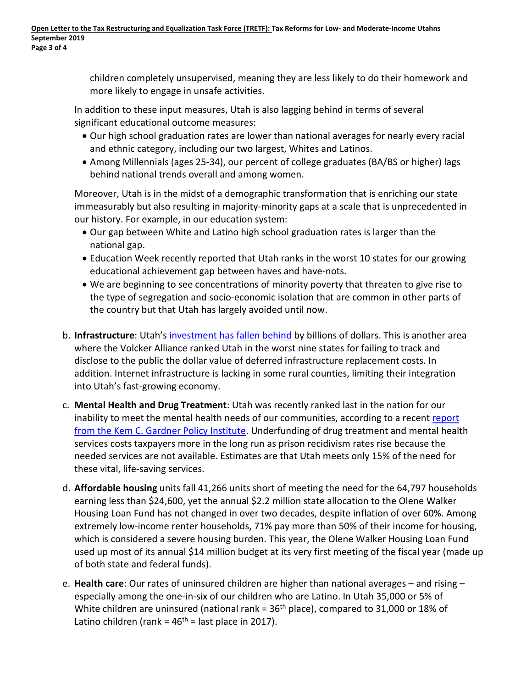children completely unsupervised, meaning they are less likely to do their homework and more likely to engage in unsafe activities.

In addition to these input measures, Utah is also lagging behind in terms of several significant educational outcome measures:

- Our high school graduation rates are lower than national averages for nearly every racial and ethnic category, including our two largest, Whites and Latinos.
- Among Millennials (ages 25-34), our percent of college graduates (BA/BS or higher) lags behind national trends overall and among women.

Moreover, Utah is in the midst of a demographic transformation that is enriching our state immeasurably but also resulting in majority-minority gaps at a scale that is unprecedented in our history. For example, in our education system:

- Our gap between White and Latino high school graduation rates is larger than the national gap.
- Education Week recently reported that Utah ranks in the worst 10 states for our growing educational achievement gap between haves and have-nots.
- We are beginning to see concentrations of minority poverty that threaten to give rise to the type of segregation and socio-economic isolation that are common in other parts of the country but that Utah has largely avoided until now.
- b. **Infrastructure**: Utah's investment has fallen behind by billions of dollars. This is another area where the Volcker Alliance ranked Utah in the worst nine states for failing to track and disclose to the public the dollar value of deferred infrastructure replacement costs. In addition. Internet infrastructure is lacking in some rural counties, limiting their integration into Utah's fast-growing economy.
- c. **Mental Health and Drug Treatment**: Utah was recently ranked last in the nation for our inability to meet the mental health needs of our communities, according to a recent report from the Kem C. Gardner Policy Institute. Underfunding of drug treatment and mental health services costs taxpayers more in the long run as prison recidivism rates rise because the needed services are not available. Estimates are that Utah meets only 15% of the need for these vital, life-saving services.
- d. **Affordable housing** units fall 41,266 units short of meeting the need for the 64,797 households earning less than \$24,600, yet the annual \$2.2 million state allocation to the Olene Walker Housing Loan Fund has not changed in over two decades, despite inflation of over 60%. Among extremely low-income renter households, 71% pay more than 50% of their income for housing, which is considered a severe housing burden. This year, the Olene Walker Housing Loan Fund used up most of its annual \$14 million budget at its very first meeting of the fiscal year (made up of both state and federal funds).
- e. **Health care**: Our rates of uninsured children are higher than national averages and rising especially among the one-in-six of our children who are Latino. In Utah 35,000 or 5% of White children are uninsured (national rank =  $36<sup>th</sup>$  place), compared to 31,000 or 18% of Latino children (rank =  $46<sup>th</sup>$  = last place in 2017).